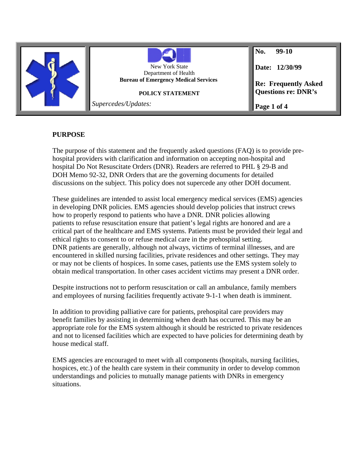

# **PURPOSE**

The purpose of this statement and the frequently asked questions (FAQ) is to provide prehospital providers with clarification and information on accepting non-hospital and hospital Do Not Resuscitate Orders (DNR). Readers are referred to PHL § 29-B and DOH Memo 92-32, DNR Orders that are the governing documents for detailed discussions on the subject. This policy does not supercede any other DOH document.

These guidelines are intended to assist local emergency medical services (EMS) agencies in developing DNR policies. EMS agencies should develop policies that instruct crews how to properly respond to patients who have a DNR. DNR policies allowing patients to refuse resuscitation ensure that patient's legal rights are honored and are a critical part of the healthcare and EMS systems. Patients must be provided their legal and ethical rights to consent to or refuse medical care in the prehospital setting. DNR patients are generally, although not always, victims of terminal illnesses, and are encountered in skilled nursing facilities, private residences and other settings. They may or may not be clients of hospices. In some cases, patients use the EMS system solely to obtain medical transportation. In other cases accident victims may present a DNR order.

Despite instructions not to perform resuscitation or call an ambulance, family members and employees of nursing facilities frequently activate 9-1-1 when death is imminent.

In addition to providing palliative care for patients, prehospital care providers may benefit families by assisting in determining when death has occurred. This may be an appropriate role for the EMS system although it should be restricted to private residences and not to licensed facilities which are expected to have policies for determining death by house medical staff.

EMS agencies are encouraged to meet with all components (hospitals, nursing facilities, hospices, etc.) of the health care system in their community in order to develop common understandings and policies to mutually manage patients with DNRs in emergency situations.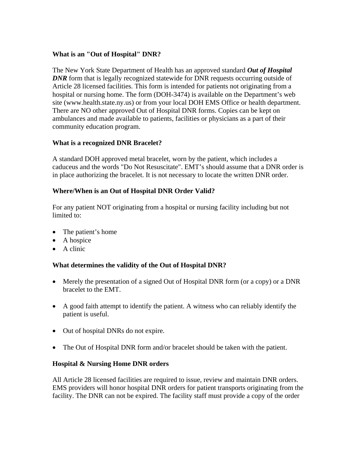## **What is an "Out of Hospital" DNR?**

The New York State Department of Health has an approved standard *Out of Hospital DNR* form that is legally recognized statewide for DNR requests occurring outside of Article 28 licensed facilities. This form is intended for patients not originating from a hospital or nursing home. The form (DOH-3474) is available on the Department's web site (www.health.state.ny.us) or from your local DOH EMS Office or health department. There are NO other approved Out of Hospital DNR forms. Copies can be kept on ambulances and made available to patients, facilities or physicians as a part of their community education program.

## **What is a recognized DNR Bracelet?**

A standard DOH approved metal bracelet, worn by the patient, which includes a caduceus and the words "Do Not Resuscitate". EMT's should assume that a DNR order is in place authorizing the bracelet. It is not necessary to locate the written DNR order.

## **Where/When is an Out of Hospital DNR Order Valid?**

For any patient NOT originating from a hospital or nursing facility including but not limited to:

- The patient's home
- A hospice
- A clinic

# **What determines the validity of the Out of Hospital DNR?**

- Merely the presentation of a signed Out of Hospital DNR form (or a copy) or a DNR bracelet to the EMT.
- A good faith attempt to identify the patient. A witness who can reliably identify the patient is useful.
- Out of hospital DNRs do not expire.
- The Out of Hospital DNR form and/or bracelet should be taken with the patient.

### **Hospital & Nursing Home DNR orders**

All Article 28 licensed facilities are required to issue, review and maintain DNR orders. EMS providers will honor hospital DNR orders for patient transports originating from the facility. The DNR can not be expired. The facility staff must provide a copy of the order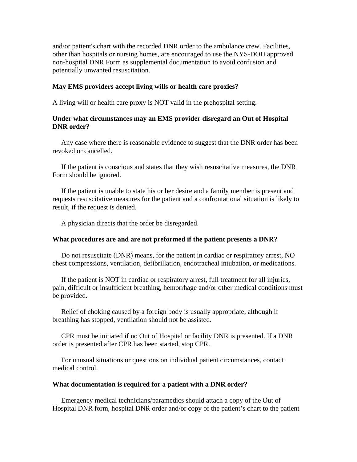and/or patient's chart with the recorded DNR order to the ambulance crew. Facilities, other than hospitals or nursing homes, are encouraged to use the NYS-DOH approved non-hospital DNR Form as supplemental documentation to avoid confusion and potentially unwanted resuscitation.

#### **May EMS providers accept living wills or health care proxies?**

A living will or health care proxy is NOT valid in the prehospital setting.

### **Under what circumstances may an EMS provider disregard an Out of Hospital DNR order?**

 Any case where there is reasonable evidence to suggest that the DNR order has been revoked or cancelled.

 If the patient is conscious and states that they wish resuscitative measures, the DNR Form should be ignored.

 If the patient is unable to state his or her desire and a family member is present and requests resuscitative measures for the patient and a confrontational situation is likely to result, if the request is denied.

A physician directs that the order be disregarded.

#### **What procedures are and are not preformed if the patient presents a DNR?**

 Do not resuscitate (DNR) means, for the patient in cardiac or respiratory arrest, NO chest compressions, ventilation, defibrillation, endotracheal intubation, or medications.

 If the patient is NOT in cardiac or respiratory arrest, full treatment for all injuries, pain, difficult or insufficient breathing, hemorrhage and/or other medical conditions must be provided.

 Relief of choking caused by a foreign body is usually appropriate, although if breathing has stopped, ventilation should not be assisted.

 CPR must be initiated if no Out of Hospital or facility DNR is presented. If a DNR order is presented after CPR has been started, stop CPR.

 For unusual situations or questions on individual patient circumstances, contact medical control.

#### **What documentation is required for a patient with a DNR order?**

 Emergency medical technicians/paramedics should attach a copy of the Out of Hospital DNR form, hospital DNR order and/or copy of the patient's chart to the patient